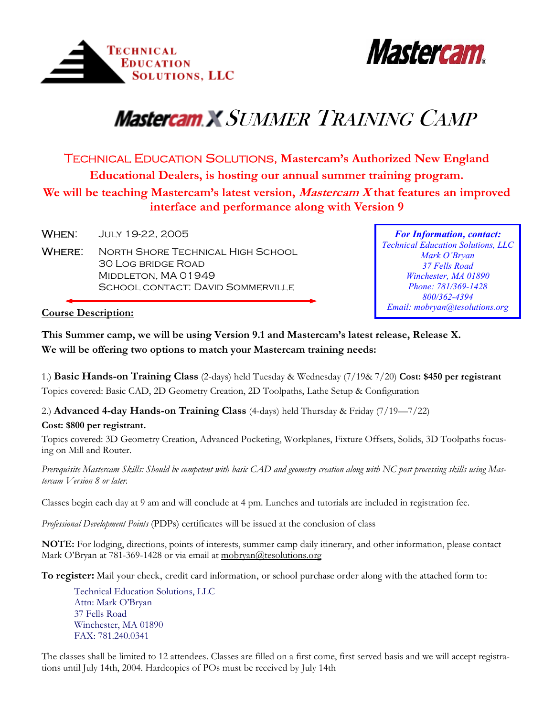



## *Mastercam X SUMMER TRAINING CAMP*

TECHNICAL EDUCATION SOLUTIONS, **Mastercam's Authorized New England Educational Dealers, is hosting our annual summer training program. We will be teaching Mastercam's latest version, Mastercam X that features an improved interface and performance along with Version 9**

**WHEN:** JULY 19-22, 2005

WHERE: NORTH SHORE TECHNICAL HIGH SCHOOL 30 Log bridge Road MIDDLETON, MA 01949 SCHOOL CONTACT: DAVID SOMMERVILLE

*For Information, contact: Technical Education Solutions, LLC Mark O'Bryan 37 Fells Road Winchester, MA 01890 Phone: 781/369-1428 800/362-4394 Email: mobryan@tesolutions.org* 

## **Course Description:**

**This Summer camp, we will be using Version 9.1 and Mastercam's latest release, Release X. We will be offering two options to match your Mastercam training needs:** 

1.) **Basic Hands-on Training Class** (2-days) held Tuesday & Wednesday (7/19& 7/20) **Cost: \$450 per registrant** Topics covered: Basic CAD, 2D Geometry Creation, 2D Toolpaths, Lathe Setup & Configuration

2.) **Advanced 4-day Hands-on Training Class** (4-days) held Thursday & Friday (7/19—7/22)

## **Cost: \$800 per registrant.**

Topics covered: 3D Geometry Creation, Advanced Pocketing, Workplanes, Fixture Offsets, Solids, 3D Toolpaths focusing on Mill and Router.

*Prerequisite Mastercam Skills: Should be competent with basic CAD and geometry creation along with NC post processing skills using Mastercam Version 8 or later.*

Classes begin each day at 9 am and will conclude at 4 pm. Lunches and tutorials are included in registration fee.

*Professional Development Points* (PDPs) certificates will be issued at the conclusion of class

**NOTE:** For lodging, directions, points of interests, summer camp daily itinerary, and other information, please contact Mark O'Bryan at 781-369-1428 or via email at mobryan@tesolutions.org

**To register:** Mail your check, credit card information, or school purchase order along with the attached form to:

 Technical Education Solutions, LLC Attn: Mark O'Bryan 37 Fells Road Winchester, MA 01890 FAX: 781.240.0341

The classes shall be limited to 12 attendees. Classes are filled on a first come, first served basis and we will accept registrations until July 14th, 2004. Hardcopies of POs must be received by July 14th